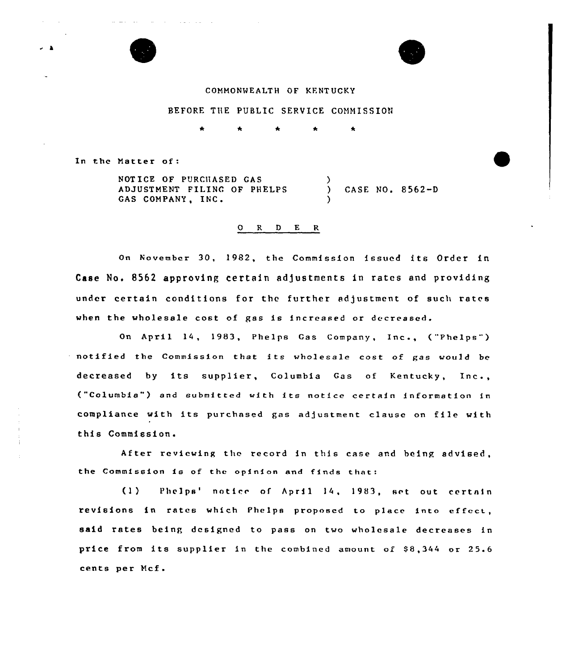

and the state of the state of

## COMMONNEALTH OF KENTUCKY

### BEFORE THE PUBLIC SERVICE COMMISSION

 $\bullet$ 

In the Matter of

NOTICE OF PURCllASED GAS ADJUSTMENT FILING OF PHELPS GAS COMPANY, INC.

) CASE NO. 8562-D

#### 0 R <sup>D</sup> E R

 $\lambda$ 

)

On November 30, 1982, the Commission issued its Order in Case No, 8562 approving certain adjustments in rates and providing under certain conditions for the further adjustment of such rates when the wholesale cost of gas is increased or decreased.

On April 14, 1983, Phelps Gas Company, Inc., ("Phelps" ) notified the Commission that its wholesale cost of gas would be decreased by its supplier, Columbia Gas of Kentucky, Inc., ("Columbia") and submitted with its notice certain information in compliance with its purchased gas adjustment clause on file with this Commission.

After reviewing the record in this case and heing advised, the Commission is of the opinion and finds that:

(1) Phelps' notice of April 14, 1983, set out certain revisions in rates which Phelps proposed to place into effect, said rates being designed to pass on two wholesale decreases in price from its supplier in the combined amount of 88,344 or 25.6 cents per Mcf.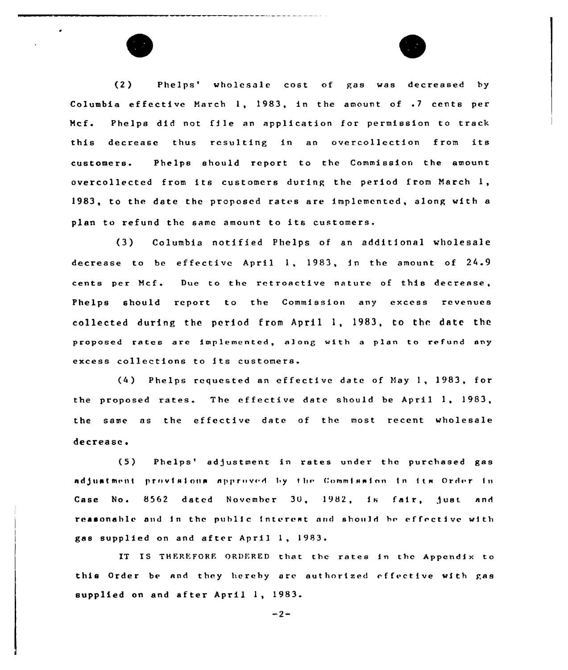(2) Phelps' wholesale cost of gas was decreased by Columbia effective March 1, 1983, in the amount of .7 cents per Mcf. Phelps did not file an application for permission to track this decrease thus resulting in an overcollection from its customers. Phelps should report to the Commission the amount overcollected from its customers during the period from March 1, 1983, to the date the proposed rates are implemented, along with a plan to refund the same amount to its customers.

(3) Columbia notified Phelps of an additional wholesale decrease to be effective April 1, 1983, in the amount cf <sup>24</sup> <sup>9</sup> cents per Mcf. Due to the retroactive nature of this decrease, Phelps should report to the Commission any excess revenues  $collected$  during the period from  $April 1, 1983, to the date the$ proposed rates are implemented, along with a plan to refund any excess collections to its customers.

(4) Phelps requested an effective date of Nay 1, 1983, for the proposed rates. The effective date should be April 1, 1983, the same as the effective date of the most recent wholesale decrease.

(5) Phelps'djustment in rates under the purchased gas adjuatment provisions approved by the Commission in its Order in Case No. 8562 dated November 30, 1982, is fair, just and reasonable and in the public interest and should be effective with gas supplied on and after April 1, 1983.

IT IS THEREFORE ORDERED that the rates in the Appendix to this Order be and they hereby are authorized offective with gas supplied on and after April 1, 1983.

 $-2-$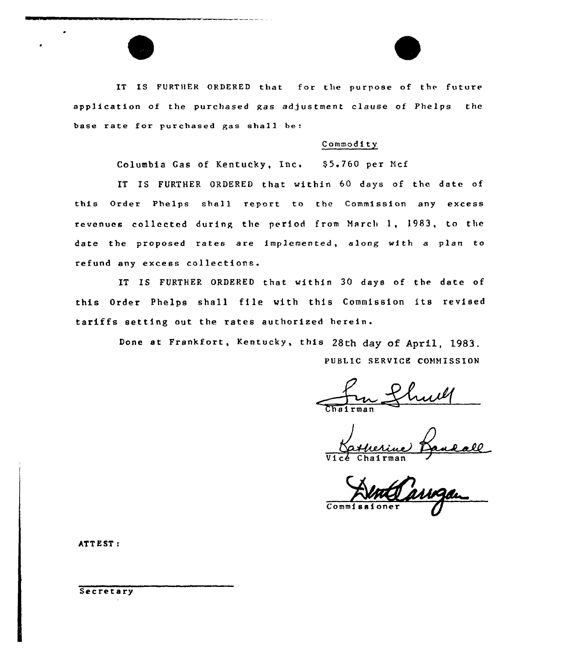IT IS FURTHER ORDERED that for the purpose of the future application of the purchased gas adjustment clause of Phelps the base rate for purchased gas shall be:

## Commodity

Columbia Gas of Kentucky, Inc. \$5.760 per Mcf

IT IS FURTHER ORDERED that within 60 days of the date of this Order Phelps shall report to the Commission any excess revenues collected during the period from March 1, 1983, to the date the proposed rates are implemented, along with a plan to refund any excess collections.

IT IS FURTHER ORDERED that within 30 days of the date of this Order Phelps shall file With this Commission its revised tariffs setting out the rates authorised herein.

> Done at Frankfort, Kentucky, this 28th day of April, 1983. PUBLIC SERVICE COHHISSION

Vice Chairma

Com

ATT <sup>E</sup> ST:

Secretary